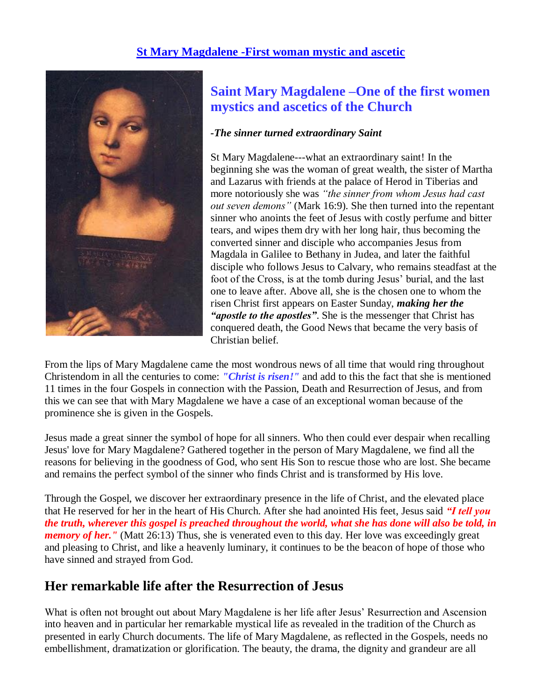### **[St Mary Magdalene -First woman mystic and ascetic](http://www.mysticsofthechurch.com/2010/04/st-mary-magdalene-first-woman-mystic.html)**



## **Saint Mary Magdalene –One of the first women mystics and ascetics of the Church**

#### *-The sinner turned extraordinary Saint*

St Mary Magdalene---what an extraordinary saint! In the beginning she was the woman of great wealth, the sister of Martha and Lazarus with friends at the palace of Herod in Tiberias and more notoriously she was *"the sinner from whom Jesus had cast out seven demons"* (Mark 16:9). She then turned into the repentant sinner who anoints the feet of Jesus with costly perfume and bitter tears, and wipes them dry with her long hair, thus becoming the converted sinner and disciple who accompanies Jesus from Magdala in Galilee to Bethany in Judea, and later the faithful disciple who follows Jesus to Calvary, who remains steadfast at the foot of the Cross, is at the tomb during Jesus' burial, and the last one to leave after. Above all, she is the chosen one to whom the risen Christ first appears on Easter Sunday, *making her the "apostle to the apostles"*. She is the messenger that Christ has conquered death, the Good News that became the very basis of Christian belief.

From the lips of Mary Magdalene came the most wondrous news of all time that would ring throughout Christendom in all the centuries to come: *"Christ is risen!"* and add to this the fact that she is mentioned 11 times in the four Gospels in connection with the Passion, Death and Resurrection of Jesus, and from this we can see that with Mary Magdalene we have a case of an exceptional woman because of the prominence she is given in the Gospels.

Jesus made a great sinner the symbol of hope for all sinners. Who then could ever despair when recalling Jesus' love for Mary Magdalene? Gathered together in the person of Mary Magdalene, we find all the reasons for believing in the goodness of God, who sent His Son to rescue those who are lost. She became and remains the perfect symbol of the sinner who finds Christ and is transformed by His love.

Through the Gospel, we discover her extraordinary presence in the life of Christ, and the elevated place that He reserved for her in the heart of His Church. After she had anointed His feet, Jesus said *"I tell you the truth, wherever this gospel is preached throughout the world, what she has done will also be told, in memory of her.*" (Matt 26:13) Thus, she is venerated even to this day. Her love was exceedingly great and pleasing to Christ, and like a heavenly luminary, it continues to be the beacon of hope of those who have sinned and strayed from God.

### **Her remarkable life after the Resurrection of Jesus**

What is often not brought out about Mary Magdalene is her life after Jesus' Resurrection and Ascension into heaven and in particular her remarkable mystical life as revealed in the tradition of the Church as presented in early Church documents. The life of Mary Magdalene, as reflected in the Gospels, needs no embellishment, dramatization or glorification. The beauty, the drama, the dignity and grandeur are all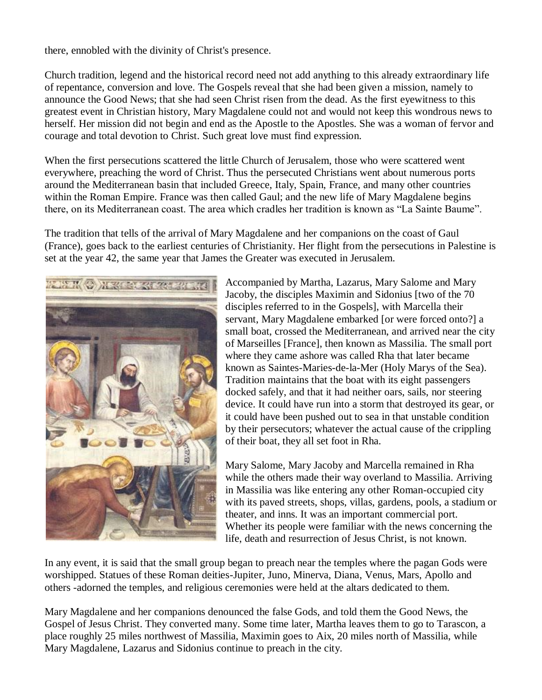there, ennobled with the divinity of Christ's presence.

Church tradition, legend and the historical record need not add anything to this already extraordinary life of repentance, conversion and love. The Gospels reveal that she had been given a mission, namely to announce the Good News; that she had seen Christ risen from the dead. As the first eyewitness to this greatest event in Christian history, Mary Magdalene could not and would not keep this wondrous news to herself. Her mission did not begin and end as the Apostle to the Apostles. She was a woman of fervor and courage and total devotion to Christ. Such great love must find expression.

When the first persecutions scattered the little Church of Jerusalem, those who were scattered went everywhere, preaching the word of Christ. Thus the persecuted Christians went about numerous ports around the Mediterranean basin that included Greece, Italy, Spain, France, and many other countries within the Roman Empire. France was then called Gaul; and the new life of Mary Magdalene begins there, on its Mediterranean coast. The area which cradles her tradition is known as "La Sainte Baume".

The tradition that tells of the arrival of Mary Magdalene and her companions on the coast of Gaul (France), goes back to the earliest centuries of Christianity. Her flight from the persecutions in Palestine is set at the year 42, the same year that James the Greater was executed in Jerusalem.



Accompanied by Martha, Lazarus, Mary Salome and Mary Jacoby, the disciples Maximin and Sidonius [two of the 70 disciples referred to in the Gospels], with Marcella their servant, Mary Magdalene embarked [or were forced onto?] a small boat, crossed the Mediterranean, and arrived near the city of Marseilles [France], then known as Massilia. The small port where they came ashore was called Rha that later became known as Saintes-Maries-de-la-Mer (Holy Marys of the Sea). Tradition maintains that the boat with its eight passengers docked safely, and that it had neither oars, sails, nor steering device. It could have run into a storm that destroyed its gear, or it could have been pushed out to sea in that unstable condition by their persecutors; whatever the actual cause of the crippling of their boat, they all set foot in Rha.

Mary Salome, Mary Jacoby and Marcella remained in Rha while the others made their way overland to Massilia. Arriving in Massilia was like entering any other Roman-occupied city with its paved streets, shops, villas, gardens, pools, a stadium or theater, and inns. It was an important commercial port. Whether its people were familiar with the news concerning the life, death and resurrection of Jesus Christ, is not known.

In any event, it is said that the small group began to preach near the temples where the pagan Gods were worshipped. Statues of these Roman deities-Jupiter, Juno, Minerva, Diana, Venus, Mars, Apollo and others -adorned the temples, and religious ceremonies were held at the altars dedicated to them.

Mary Magdalene and her companions denounced the false Gods, and told them the Good News, the Gospel of Jesus Christ. They converted many. Some time later, Martha leaves them to go to Tarascon, a place roughly 25 miles northwest of Massilia, Maximin goes to Aix, 20 miles north of Massilia, while Mary Magdalene, Lazarus and Sidonius continue to preach in the city.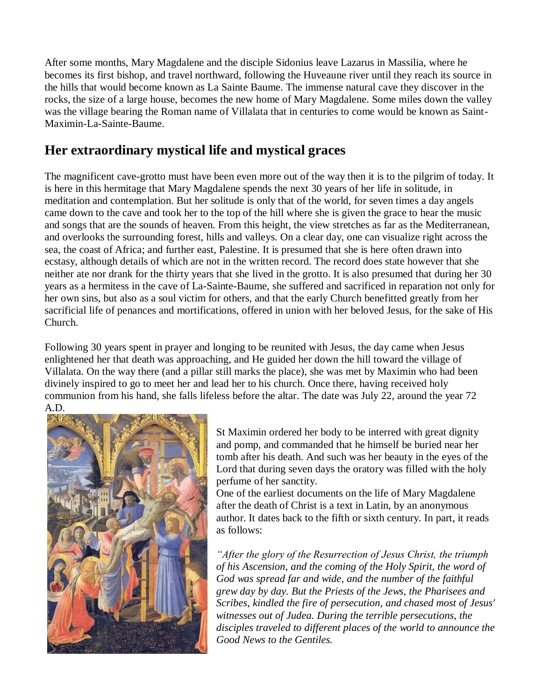After some months, Mary Magdalene and the disciple Sidonius leave Lazarus in Massilia, where he becomes its first bishop, and travel northward, following the Huveaune river until they reach its source in the hills that would become known as La Sainte Baume. The immense natural cave they discover in the rocks, the size of a large house, becomes the new home of Mary Magdalene. Some miles down the valley was the village bearing the Roman name of Villalata that in centuries to come would be known as Saint-Maximin-La-Sainte-Baume.

# **Her extraordinary mystical life and mystical graces**

The magnificent cave-grotto must have been even more out of the way then it is to the pilgrim of today. It is here in this hermitage that Mary Magdalene spends the next 30 years of her life in solitude, in meditation and contemplation. But her solitude is only that of the world, for seven times a day angels came down to the cave and took her to the top of the hill where she is given the grace to hear the music and songs that are the sounds of heaven. From this height, the view stretches as far as the Mediterranean, and overlooks the surrounding forest, hills and valleys. On a clear day, one can visualize right across the sea, the coast of Africa; and further east, Palestine. It is presumed that she is here often drawn into ecstasy, although details of which are not in the written record. The record does state however that she neither ate nor drank for the thirty years that she lived in the grotto. It is also presumed that during her 30 years as a hermitess in the cave of La-Sainte-Baume, she suffered and sacrificed in reparation not only for her own sins, but also as a soul victim for others, and that the early Church benefitted greatly from her sacrificial life of penances and mortifications, offered in union with her beloved Jesus, for the sake of His Church.

Following 30 years spent in prayer and longing to be reunited with Jesus, the day came when Jesus enlightened her that death was approaching, and He guided her down the hill toward the village of Villalata. On the way there (and a pillar still marks the place), she was met by Maximin who had been divinely inspired to go to meet her and lead her to his church. Once there, having received holy communion from his hand, she falls lifeless before the altar. The date was July 22, around the year 72 A.D.



St Maximin ordered her body to be interred with great dignity and pomp, and commanded that he himself be buried near her tomb after his death. And such was her beauty in the eyes of the Lord that during seven days the oratory was filled with the holy perfume of her sanctity.

One of the earliest documents on the life of Mary Magdalene after the death of Christ is a text in Latin, by an anonymous author. It dates back to the fifth or sixth century. In part, it reads as follows:

*"After the glory of the Resurrection of Jesus Christ, the triumph of his Ascension, and the coming of the Holy Spirit, the word of God was spread far and wide, and the number of the faithful grew day by day. But the Priests of the Jews, the Pharisees and Scribes, kindled the fire of persecution, and chased most of Jesus' witnesses out of Judea. During the terrible persecutions, the disciples traveled to different places of the world to announce the Good News to the Gentiles.*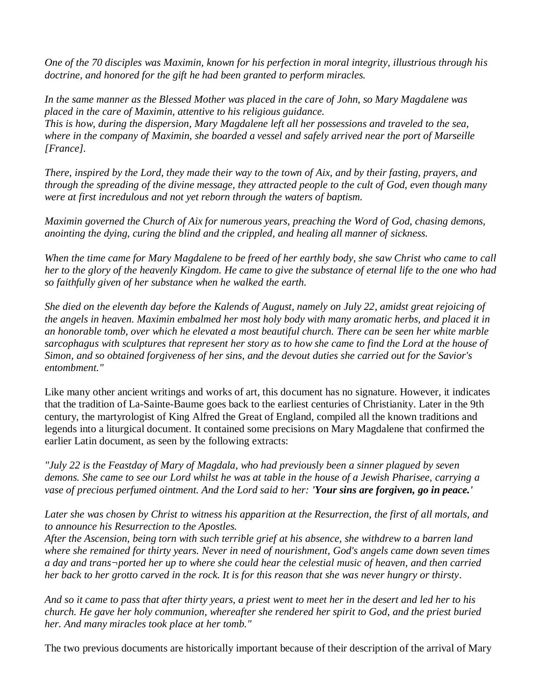*One of the 70 disciples was Maximin, known for his perfection in moral integrity, illustrious through his doctrine, and honored for the gift he had been granted to perform miracles.*

*In the same manner as the Blessed Mother was placed in the care of John, so Mary Magdalene was placed in the care of Maximin, attentive to his religious guidance. This is how, during the dispersion, Mary Magdalene left all her possessions and traveled to the sea, where in the company of Maximin, she boarded a vessel and safely arrived near the port of Marseille [France].*

*There, inspired by the Lord, they made their way to the town of Aix, and by their fasting, prayers, and through the spreading of the divine message, they attracted people to the cult of God, even though many were at first incredulous and not yet reborn through the waters of baptism.*

*Maximin governed the Church of Aix for numerous years, preaching the Word of God, chasing demons, anointing the dying, curing the blind and the crippled, and healing all manner of sickness.*

*When the time came for Mary Magdalene to be freed of her earthly body, she saw Christ who came to call her to the glory of the heavenly Kingdom. He came to give the substance of eternal life to the one who had so faithfully given of her substance when he walked the earth.*

*She died on the eleventh day before the Kalends of August, namely on July 22, amidst great rejoicing of the angels in heaven. Maximin embalmed her most holy body with many aromatic herbs, and placed it in an honorable tomb, over which he elevated a most beautiful church. There can be seen her white marble sarcophagus with sculptures that represent her story as to how she came to find the Lord at the house of Simon, and so obtained forgiveness of her sins, and the devout duties she carried out for the Savior's entombment."* 

Like many other ancient writings and works of art, this document has no signature. However, it indicates that the tradition of La-Sainte-Baume goes back to the earliest centuries of Christianity. Later in the 9th century, the martyrologist of King Alfred the Great of England, compiled all the known traditions and legends into a liturgical document. It contained some precisions on Mary Magdalene that confirmed the earlier Latin document, as seen by the following extracts:

*"July 22 is the Feastday of Mary of Magdala, who had previously been a sinner plagued by seven demons. She came to see our Lord whilst he was at table in the house of a Jewish Pharisee, carrying a vase of precious perfumed ointment. And the Lord said to her: 'Your sins are forgiven, go in peace.'*

*Later she was chosen by Christ to witness his apparition at the Resurrection, the first of all mortals, and to announce his Resurrection to the Apostles.*

*After the Ascension, being torn with such terrible grief at his absence, she withdrew to a barren land where she remained for thirty years. Never in need of nourishment, God's angels came down seven times a day and trans¬ported her up to where she could hear the celestial music of heaven, and then carried her back to her grotto carved in the rock. It is for this reason that she was never hungry or thirsty.*

*And so it came to pass that after thirty years, a priest went to meet her in the desert and led her to his church. He gave her holy communion, whereafter she rendered her spirit to God, and the priest buried her. And many miracles took place at her tomb."* 

The two previous documents are historically important because of their description of the arrival of Mary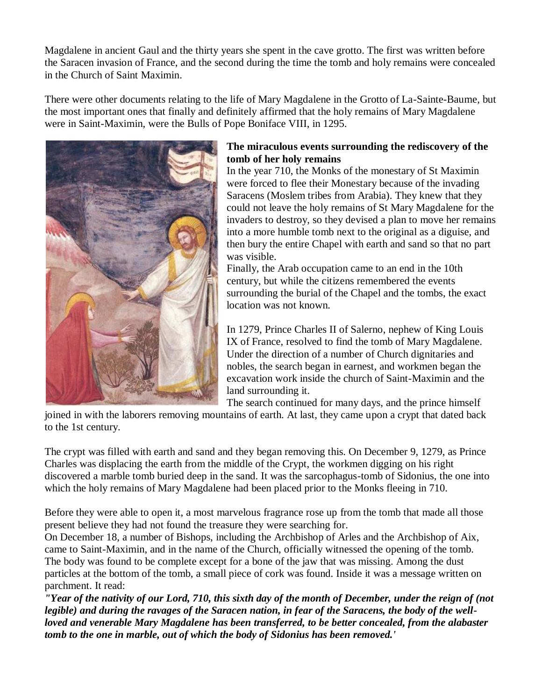Magdalene in ancient Gaul and the thirty years she spent in the cave grotto. The first was written before the Saracen invasion of France, and the second during the time the tomb and holy remains were concealed in the Church of Saint Maximin.

There were other documents relating to the life of Mary Magdalene in the Grotto of La-Sainte-Baume, but the most important ones that finally and definitely affirmed that the holy remains of Mary Magdalene were in Saint-Maximin, were the Bulls of Pope Boniface VIII, in 1295.



### **The miraculous events surrounding the rediscovery of the tomb of her holy remains**

In the year 710, the Monks of the monestary of St Maximin were forced to flee their Monestary because of the invading Saracens (Moslem tribes from Arabia). They knew that they could not leave the holy remains of St Mary Magdalene for the invaders to destroy, so they devised a plan to move her remains into a more humble tomb next to the original as a diguise, and then bury the entire Chapel with earth and sand so that no part was visible.

Finally, the Arab occupation came to an end in the 10th century, but while the citizens remembered the events surrounding the burial of the Chapel and the tombs, the exact location was not known.

In 1279, Prince Charles II of Salerno, nephew of King Louis IX of France, resolved to find the tomb of Mary Magdalene. Under the direction of a number of Church dignitaries and nobles, the search began in earnest, and workmen began the excavation work inside the church of Saint-Maximin and the land surrounding it.

The search continued for many days, and the prince himself

joined in with the laborers removing mountains of earth. At last, they came upon a crypt that dated back to the 1st century.

The crypt was filled with earth and sand and they began removing this. On December 9, 1279, as Prince Charles was displacing the earth from the middle of the Crypt, the workmen digging on his right discovered a marble tomb buried deep in the sand. It was the sarcophagus-tomb of Sidonius, the one into which the holy remains of Mary Magdalene had been placed prior to the Monks fleeing in 710.

Before they were able to open it, a most marvelous fragrance rose up from the tomb that made all those present believe they had not found the treasure they were searching for.

On December 18, a number of Bishops, including the Archbishop of Arles and the Archbishop of Aix, came to Saint-Maximin, and in the name of the Church, officially witnessed the opening of the tomb. The body was found to be complete except for a bone of the jaw that was missing. Among the dust particles at the bottom of the tomb, a small piece of cork was found. Inside it was a message written on parchment. It read:

*"Year of the nativity of our Lord, 710, this sixth day of the month of December, under the reign of (not legible) and during the ravages of the Saracen nation, in fear of the Saracens, the body of the wellloved and venerable Mary Magdalene has been transferred, to be better concealed, from the alabaster tomb to the one in marble, out of which the body of Sidonius has been removed.'*